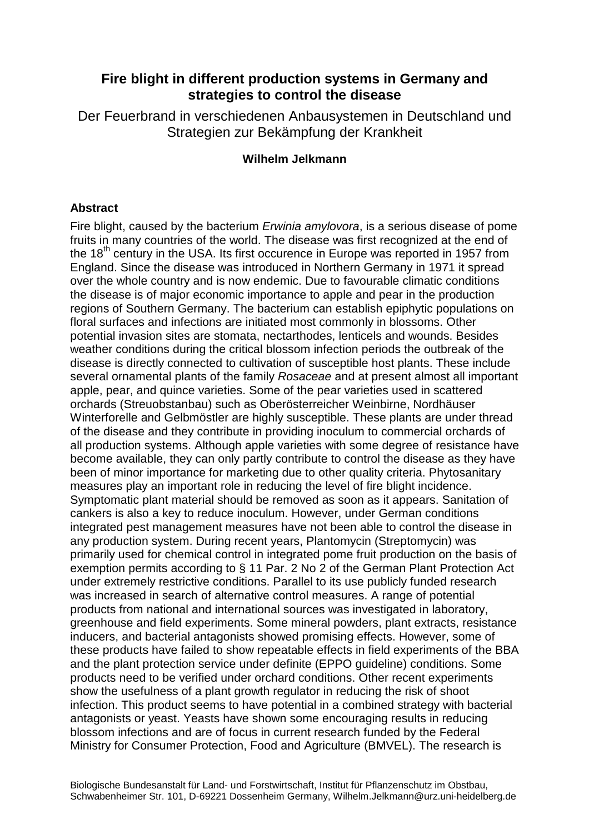## **Fire blight in different production systems in Germany and strategies to control the disease**

Der Feuerbrand in verschiedenen Anbausystemen in Deutschland und Strategien zur Bekämpfung der Krankheit

## **Wilhelm Jelkmann**

## **Abstract**

Fire blight, caused by the bacterium *Erwinia amylovora*, is a serious disease of pome fruits in many countries of the world. The disease was first recognized at the end of the  $18<sup>th</sup>$  century in the USA. Its first occurence in Europe was reported in 1957 from England. Since the disease was introduced in Northern Germany in 1971 it spread over the whole country and is now endemic. Due to favourable climatic conditions the disease is of major economic importance to apple and pear in the production regions of Southern Germany. The bacterium can establish epiphytic populations on floral surfaces and infections are initiated most commonly in blossoms. Other potential invasion sites are stomata, nectarthodes, lenticels and wounds. Besides weather conditions during the critical blossom infection periods the outbreak of the disease is directly connected to cultivation of susceptible host plants. These include several ornamental plants of the family Rosaceae and at present almost all important apple, pear, and quince varieties. Some of the pear varieties used in scattered orchards (Streuobstanbau) such as Oberösterreicher Weinbirne, Nordhäuser Winterforelle and Gelbmöstler are highly susceptible. These plants are under thread of the disease and they contribute in providing inoculum to commercial orchards of all production systems. Although apple varieties with some degree of resistance have become available, they can only partly contribute to control the disease as they have been of minor importance for marketing due to other quality criteria. Phytosanitary measures play an important role in reducing the level of fire blight incidence. Symptomatic plant material should be removed as soon as it appears. Sanitation of cankers is also a key to reduce inoculum. However, under German conditions integrated pest management measures have not been able to control the disease in any production system. During recent years, Plantomycin (Streptomycin) was primarily used for chemical control in integrated pome fruit production on the basis of exemption permits according to § 11 Par. 2 No 2 of the German Plant Protection Act under extremely restrictive conditions. Parallel to its use publicly funded research was increased in search of alternative control measures. A range of potential products from national and international sources was investigated in laboratory, greenhouse and field experiments. Some mineral powders, plant extracts, resistance inducers, and bacterial antagonists showed promising effects. However, some of these products have failed to show repeatable effects in field experiments of the BBA and the plant protection service under definite (EPPO guideline) conditions. Some products need to be verified under orchard conditions. Other recent experiments show the usefulness of a plant growth regulator in reducing the risk of shoot infection. This product seems to have potential in a combined strategy with bacterial antagonists or yeast. Yeasts have shown some encouraging results in reducing blossom infections and are of focus in current research funded by the Federal Ministry for Consumer Protection, Food and Agriculture (BMVEL). The research is